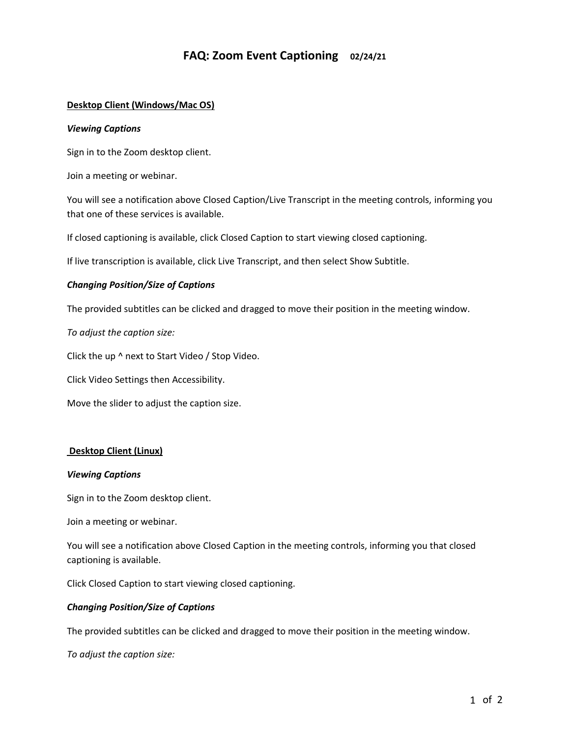# **FAQ: Zoom Event Captioning 02/24/21**

# **Desktop Client (Windows/Mac OS)**

#### *Viewing Captions*

Sign in to the Zoom desktop client.

Join a meeting or webinar.

You will see a notification above Closed Caption/Live Transcript in the meeting controls, informing you that one of these services is available.

If closed captioning is available, click Closed Caption to start viewing closed captioning.

If live transcription is available, click Live Transcript, and then select Show Subtitle.

## *Changing Position/Size of Captions*

The provided subtitles can be clicked and dragged to move their position in the meeting window.

*To adjust the caption size:*

Click the up ^ next to Start Video / Stop Video.

Click Video Settings then Accessibility.

Move the slider to adjust the caption size.

## **Desktop Client (Linux)**

#### *Viewing Captions*

Sign in to the Zoom desktop client.

Join a meeting or webinar.

You will see a notification above Closed Caption in the meeting controls, informing you that closed captioning is available.

Click Closed Caption to start viewing closed captioning.

## *Changing Position/Size of Captions*

The provided subtitles can be clicked and dragged to move their position in the meeting window.

*To adjust the caption size:*